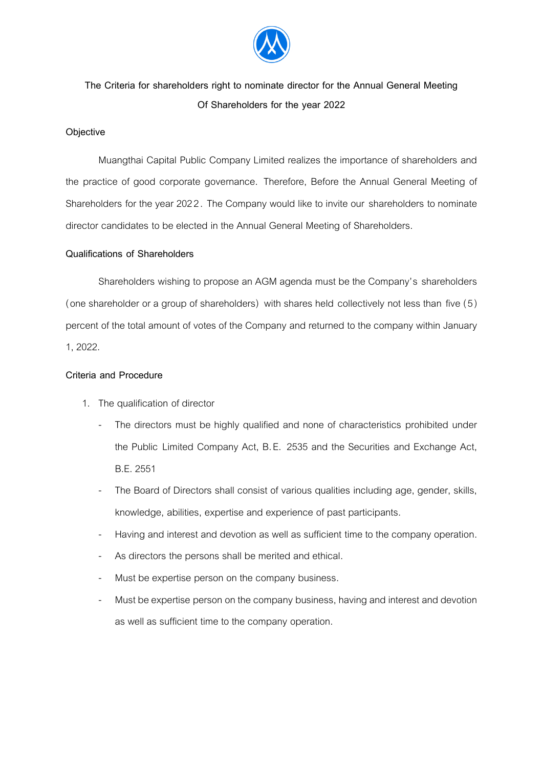

## **The Criteria for shareholders right to nominate director for the Annual General Meeting Of Shareholders for the year 2022**

## **Objective**

Muangthai Capital Public Company Limited realizes the importance of shareholders and the practice of good corporate governance. Therefore, Before the Annual General Meeting of Shareholders for the year 2022. The Company would like to invite our shareholders to nominate director candidates to be elected in the Annual General Meeting of Shareholders.

## **Qualifications of Shareholders**

Shareholders wishing to propose an AGM agenda must be the Company's shareholders (one shareholder or a group of shareholders) with shares held collectively not less than five (5) percent of the total amount of votes of the Company and returned to the company within January 1, 2022.

## **Criteria and Procedure**

- 1. The qualification of director
	- The directors must be highly qualified and none of characteristics prohibited under the Public Limited Company Act, B.E. 2535 and the Securities and Exchange Act, B.E. 2551
	- The Board of Directors shall consist of various qualities including age, gender, skills, knowledge, abilities, expertise and experience of past participants.
	- Having and interest and devotion as well as sufficient time to the company operation.
	- As directors the persons shall be merited and ethical.
	- Must be expertise person on the company business.
	- Must be expertise person on the company business, having and interest and devotion as well as sufficient time to the company operation.